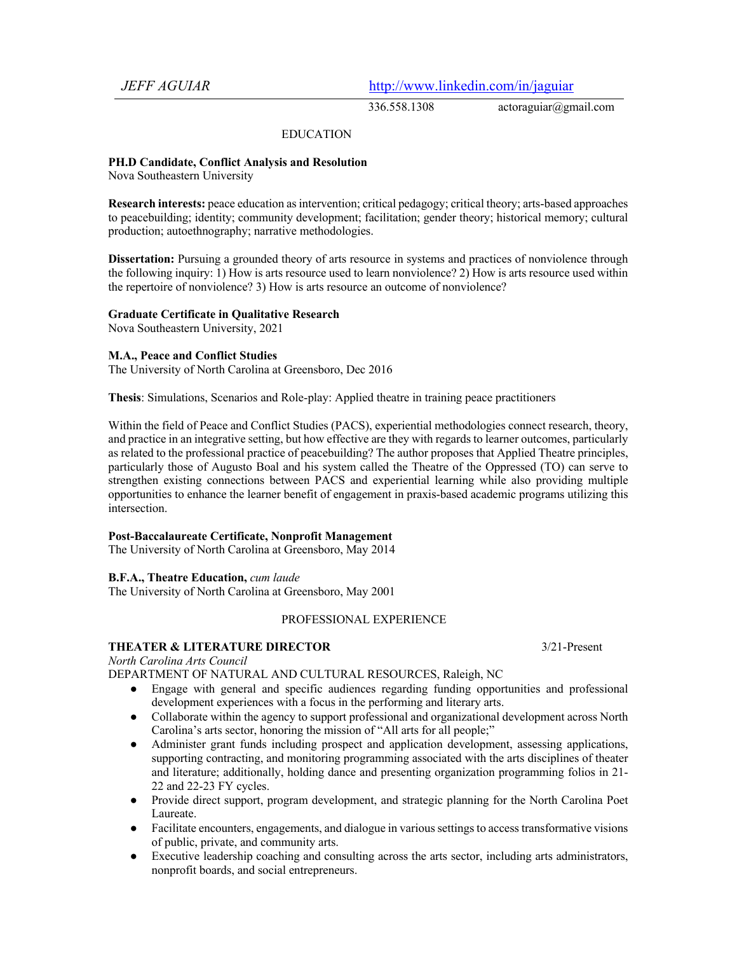*JEFF AGUIAR* http://www.linkedin.com/in/jaguiar

336.558.1308 actoraguiar@gmail.com

## EDUCATION

#### **PH.D Candidate, Conflict Analysis and Resolution**

Nova Southeastern University

**Research interests:** peace education as intervention; critical pedagogy; critical theory; arts-based approaches to peacebuilding; identity; community development; facilitation; gender theory; historical memory; cultural production; autoethnography; narrative methodologies.

**Dissertation:** Pursuing a grounded theory of arts resource in systems and practices of nonviolence through the following inquiry: 1) How is arts resource used to learn nonviolence? 2) How is arts resource used within the repertoire of nonviolence? 3) How is arts resource an outcome of nonviolence?

#### **Graduate Certificate in Qualitative Research**

Nova Southeastern University, 2021

#### **M.A., Peace and Conflict Studies**

The University of North Carolina at Greensboro, Dec 2016

**Thesis**: Simulations, Scenarios and Role-play: Applied theatre in training peace practitioners

Within the field of Peace and Conflict Studies (PACS), experiential methodologies connect research, theory, and practice in an integrative setting, but how effective are they with regards to learner outcomes, particularly as related to the professional practice of peacebuilding? The author proposes that Applied Theatre principles, particularly those of Augusto Boal and his system called the Theatre of the Oppressed (TO) can serve to strengthen existing connections between PACS and experiential learning while also providing multiple opportunities to enhance the learner benefit of engagement in praxis-based academic programs utilizing this intersection.

## **Post-Baccalaureate Certificate, Nonprofit Management**

The University of North Carolina at Greensboro, May 2014

## **B.F.A., Theatre Education,** *cum laude*

The University of North Carolina at Greensboro, May 2001

### PROFESSIONAL EXPERIENCE

### **THEATER & LITERATURE DIRECTOR** 3/21-Present

*North Carolina Arts Council*

DEPARTMENT OF NATURAL AND CULTURAL RESOURCES, Raleigh, NC

- Engage with general and specific audiences regarding funding opportunities and professional development experiences with a focus in the performing and literary arts.
- Collaborate within the agency to support professional and organizational development across North Carolina's arts sector, honoring the mission of "All arts for all people;"
- Administer grant funds including prospect and application development, assessing applications, supporting contracting, and monitoring programming associated with the arts disciplines of theater and literature; additionally, holding dance and presenting organization programming folios in 21- 22 and 22-23 FY cycles.
- Provide direct support, program development, and strategic planning for the North Carolina Poet Laureate.
- Facilitate encounters, engagements, and dialogue in various settings to access transformative visions of public, private, and community arts.
- Executive leadership coaching and consulting across the arts sector, including arts administrators, nonprofit boards, and social entrepreneurs.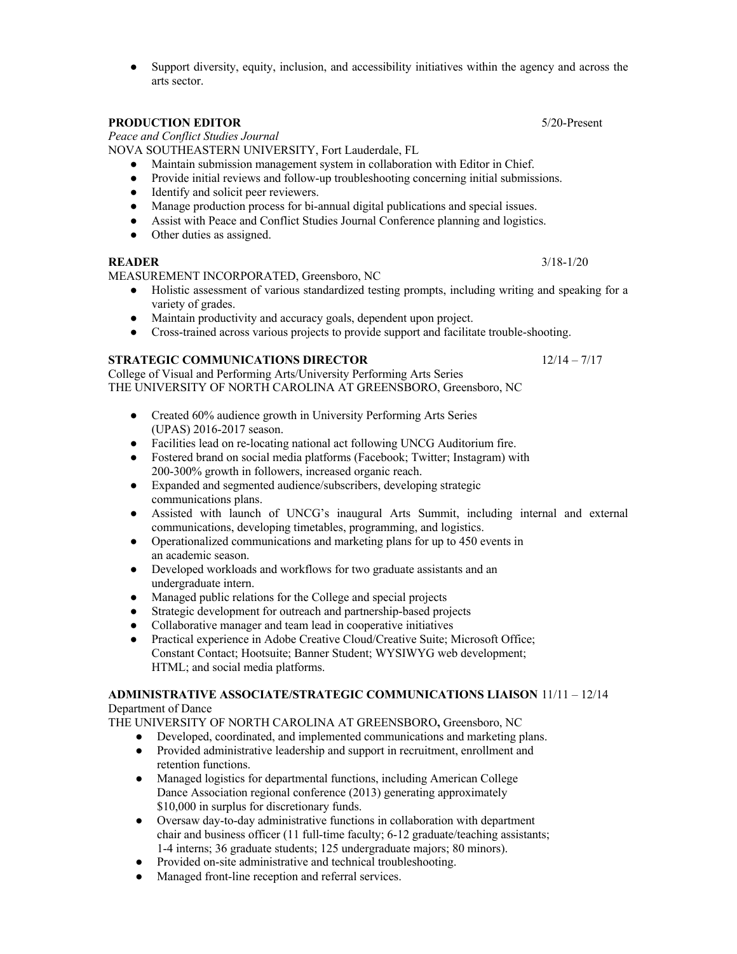Support diversity, equity, inclusion, and accessibility initiatives within the agency and across the arts sector.

# **PRODUCTION EDITOR** 5/20-Present

*Peace and Conflict Studies Journal*

NOVA SOUTHEASTERN UNIVERSITY, Fort Lauderdale, FL

- Maintain submission management system in collaboration with Editor in Chief.
- Provide initial reviews and follow-up troubleshooting concerning initial submissions.
- Identify and solicit peer reviewers.
- Manage production process for bi-annual digital publications and special issues.
- Assist with Peace and Conflict Studies Journal Conference planning and logistics.
- Other duties as assigned.

# **READER** 3/18-1/20

MEASUREMENT INCORPORATED, Greensboro, NC

- Holistic assessment of various standardized testing prompts, including writing and speaking for a variety of grades.
- Maintain productivity and accuracy goals, dependent upon project.
- Cross-trained across various projects to provide support and facilitate trouble-shooting.

# **STRATEGIC COMMUNICATIONS DIRECTOR** 12/14 – 7/17

College of Visual and Performing Arts/University Performing Arts Series THE UNIVERSITY OF NORTH CAROLINA AT GREENSBORO, Greensboro, NC

- Created 60% audience growth in University Performing Arts Series (UPAS) 2016-2017 season.
- Facilities lead on re-locating national act following UNCG Auditorium fire.
- Fostered brand on social media platforms (Facebook; Twitter; Instagram) with 200-300% growth in followers, increased organic reach.
- Expanded and segmented audience/subscribers, developing strategic communications plans.
- Assisted with launch of UNCG's inaugural Arts Summit, including internal and external communications, developing timetables, programming, and logistics.
- Operationalized communications and marketing plans for up to 450 events in an academic season.
- Developed workloads and workflows for two graduate assistants and an undergraduate intern.
- Managed public relations for the College and special projects
- Strategic development for outreach and partnership-based projects
- Collaborative manager and team lead in cooperative initiatives
- Practical experience in Adobe Creative Cloud/Creative Suite; Microsoft Office; Constant Contact; Hootsuite; Banner Student; WYSIWYG web development; HTML; and social media platforms.

# **ADMINISTRATIVE ASSOCIATE/STRATEGIC COMMUNICATIONS LIAISON** 11/11 – 12/14 Department of Dance

THE UNIVERSITY OF NORTH CAROLINA AT GREENSBORO**,** Greensboro, NC

- Developed, coordinated, and implemented communications and marketing plans.
- Provided administrative leadership and support in recruitment, enrollment and retention functions.
- Managed logistics for departmental functions, including American College Dance Association regional conference (2013) generating approximately \$10,000 in surplus for discretionary funds.
- Oversaw day-to-day administrative functions in collaboration with department chair and business officer (11 full-time faculty; 6-12 graduate/teaching assistants; 1-4 interns; 36 graduate students; 125 undergraduate majors; 80 minors).
- Provided on-site administrative and technical troubleshooting.
- Managed front-line reception and referral services.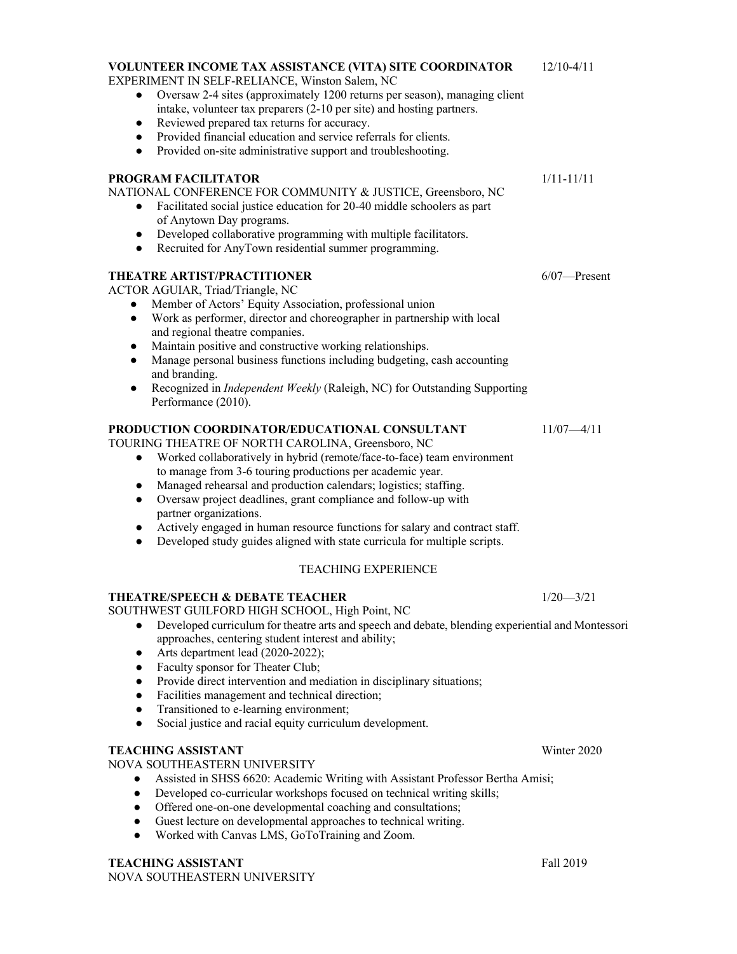| EXPERIMENT IN SELF-RELIANCE, Winston Salem, NC                                                                                                                                                                                                                                                                                                                                            |                 |
|-------------------------------------------------------------------------------------------------------------------------------------------------------------------------------------------------------------------------------------------------------------------------------------------------------------------------------------------------------------------------------------------|-----------------|
| Oversaw 2-4 sites (approximately 1200 returns per season), managing client<br>$\bullet$<br>intake, volunteer tax preparers (2-10 per site) and hosting partners.<br>Reviewed prepared tax returns for accuracy.<br>$\bullet$<br>Provided financial education and service referrals for clients.<br>$\bullet$<br>Provided on-site administrative support and troubleshooting.<br>$\bullet$ |                 |
| PROGRAM FACILITATOR<br>NATIONAL CONFERENCE FOR COMMUNITY & JUSTICE, Greensboro, NC<br>Facilitated social justice education for 20-40 middle schoolers as part<br>$\bullet$<br>of Anytown Day programs.<br>Developed collaborative programming with multiple facilitators.<br>$\bullet$<br>Recruited for AnyTown residential summer programming.<br>$\bullet$                              | $1/11 - 11/11$  |
| THEATRE ARTIST/PRACTITIONER<br><b>ACTOR AGUIAR, Triad/Triangle, NC</b><br>Member of Actors' Equity Association, professional union<br>$\bullet$<br>$\mathbf{W}$ and $\mathbf{W}$ and $\mathbf{W}$ and $\mathbf{W}$ and $\mathbf{W}$ and $\mathbf{W}$ and $\mathbf{W}$ and $\mathbf{W}$                                                                                                    | $6/07$ —Present |

- Work as performer, director and choreographer in partnership with local and regional theatre companies.
- Maintain positive and constructive working relationships.
- Manage personal business functions including budgeting, cash accounting and branding.
- Recognized in *Independent Weekly* (Raleigh, NC) for Outstanding Supporting Performance (2010).

# **PRODUCTION COORDINATOR/EDUCATIONAL CONSULTANT** 11/07—4/11

TOURING THEATRE OF NORTH CAROLINA, Greensboro, NC

- Worked collaboratively in hybrid (remote/face-to-face) team environment to manage from 3-6 touring productions per academic year.
- Managed rehearsal and production calendars; logistics; staffing.
- Oversaw project deadlines, grant compliance and follow-up with partner organizations.
- Actively engaged in human resource functions for salary and contract staff.
- Developed study guides aligned with state curricula for multiple scripts.

# TEACHING EXPERIENCE

# **THEATRE/SPEECH & DEBATE TEACHER** 1/20 - 3/21

SOUTHWEST GUILFORD HIGH SCHOOL, High Point, NC

- Developed curriculum for theatre arts and speech and debate, blending experiential and Montessori approaches, centering student interest and ability;
- Arts department lead (2020-2022);
- Faculty sponsor for Theater Club;
- Provide direct intervention and mediation in disciplinary situations;
- Facilities management and technical direction;
- Transitioned to e-learning environment;
- Social justice and racial equity curriculum development.

# **TEACHING ASSISTANT** Winter 2020

NOVA SOUTHEASTERN UNIVERSITY

- Assisted in SHSS 6620: Academic Writing with Assistant Professor Bertha Amisi;
- Developed co-curricular workshops focused on technical writing skills;
- Offered one-on-one developmental coaching and consultations;
- Guest lecture on developmental approaches to technical writing.
- Worked with Canvas LMS, GoToTraining and Zoom.

# **TEACHING ASSISTANT** Fall 2019

NOVA SOUTHEASTERN UNIVERSITY

**VOLUNTEER INCOME TAX ASSISTANCE (VITA) SITE COORDINATOR** 12/10-4/11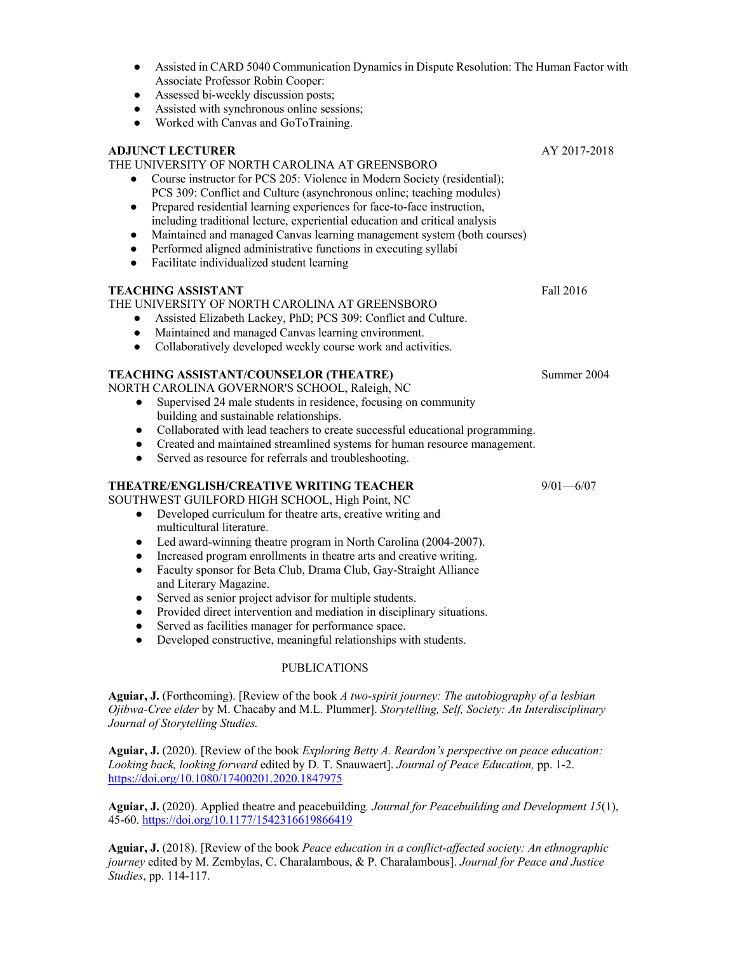- Assisted in CARD 5040 Communication Dynamics in Dispute Resolution: The Human Factor with Associate Professor Robin Cooper:
- Assessed bi-weekly discussion posts;
- Assisted with synchronous online sessions;
- Worked with Canvas and GoToTraining.

# **ADJUNCT LECTURER** AY 2017-2018

## THE UNIVERSITY OF NORTH CAROLINA AT GREENSBORO

- Course instructor for PCS 205: Violence in Modern Society (residential); PCS 309: Conflict and Culture (asynchronous online; teaching modules)
- Prepared residential learning experiences for face-to-face instruction, including traditional lecture, experiential education and critical analysis
- Maintained and managed Canvas learning management system (both courses)
- Performed aligned administrative functions in executing syllabi
- Facilitate individualized student learning

# **TEACHING ASSISTANT** Fall 2016

# THE UNIVERSITY OF NORTH CAROLINA AT GREENSBORO

- Assisted Elizabeth Lackey, PhD; PCS 309: Conflict and Culture.
- Maintained and managed Canvas learning environment.
- Collaboratively developed weekly course work and activities.

# **TEACHING ASSISTANT/COUNSELOR (THEATRE)** Summer 2004

NORTH CAROLINA GOVERNOR'S SCHOOL, Raleigh, NC

- Supervised 24 male students in residence, focusing on community building and sustainable relationships.
- Collaborated with lead teachers to create successful educational programming.
- Created and maintained streamlined systems for human resource management.
- Served as resource for referrals and troubleshooting.

# **THEATRE/ENGLISH/CREATIVE WRITING TEACHER** 9/01—6/07

SOUTHWEST GUILFORD HIGH SCHOOL, High Point, NC

- Developed curriculum for theatre arts, creative writing and multicultural literature.
- Led award-winning theatre program in North Carolina (2004-2007).
- Increased program enrollments in theatre arts and creative writing.
- Faculty sponsor for Beta Club, Drama Club, Gay-Straight Alliance and Literary Magazine.
- Served as senior project advisor for multiple students.
- Provided direct intervention and mediation in disciplinary situations.
- Served as facilities manager for performance space.
- Developed constructive, meaningful relationships with students.

# PUBLICATIONS

**Aguiar, J.** (Forthcoming). [Review of the book *A two-spirit journey: The autobiography of a lesbian Ojibwa-Cree elder* by M. Chacaby and M.L. Plummer]. *Storytelling, Self, Society: An Interdisciplinary Journal of Storytelling Studies.*

**Aguiar, J.** (2020). [Review of the book *Exploring Betty A. Reardon's perspective on peace education: Looking back, looking forward* edited by D. T. Snauwaert]. *Journal of Peace Education,* pp. 1-2. https://doi.org/10.1080/17400201.2020.1847975

**Aguiar, J.** (2020). Applied theatre and peacebuilding*. Journal for Peacebuilding and Development 15*(1), 45-60. https://doi.org/10.1177/1542316619866419

**Aguiar, J.** (2018). [Review of the book *Peace education in a conflict-affected society: An ethnographic journey* edited by M. Zembylas, C. Charalambous, & P. Charalambous]. *Journal for Peace and Justice Studies*, pp. 114-117.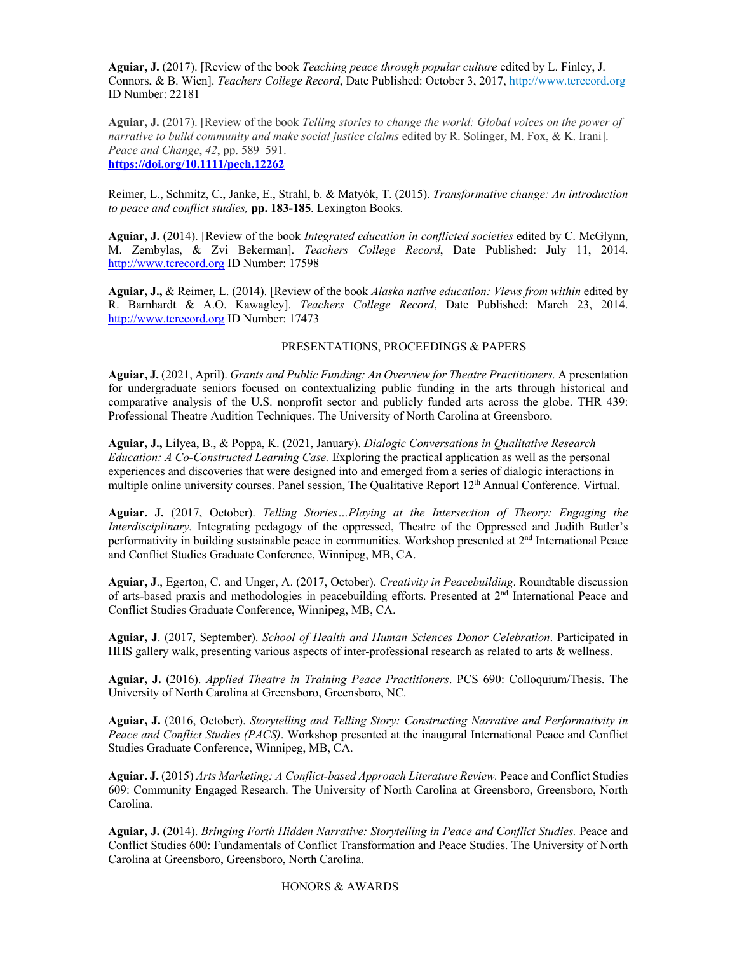**Aguiar, J.** (2017). [Review of the book *Teaching peace through popular culture* edited by L. Finley, J. Connors, & B. Wien]. *Teachers College Record*, Date Published: October 3, 2017, http://www.tcrecord.org ID Number: 22181

**Aguiar, J.** (2017). [Review of the book *Telling stories to change the world: Global voices on the power of narrative to build community and make social justice claims* edited by R. Solinger, M. Fox, & K. Irani]. *Peace and Change*, *42*, pp. 589–591. **https://doi.org/10.1111/pech.12262**

Reimer, L., Schmitz, C., Janke, E., Strahl, b. & Matyók, T. (2015). *Transformative change: An introduction to peace and conflict studies,* **pp. 183-185**. Lexington Books.

**Aguiar, J.** (2014). [Review of the book *Integrated education in conflicted societies* edited by C. McGlynn, M. Zembylas, & Zvi Bekerman]. *Teachers College Record*, Date Published: July 11, 2014. http://www.tcrecord.org ID Number: 17598

**Aguiar, J.,** & Reimer, L. (2014). [Review of the book *Alaska native education: Views from within* edited by R. Barnhardt & A.O. Kawagley]. *Teachers College Record*, Date Published: March 23, 2014. http://www.tcrecord.org ID Number: 17473

### PRESENTATIONS, PROCEEDINGS & PAPERS

**Aguiar, J.** (2021, April). *Grants and Public Funding: An Overview for Theatre Practitioners.* A presentation for undergraduate seniors focused on contextualizing public funding in the arts through historical and comparative analysis of the U.S. nonprofit sector and publicly funded arts across the globe. THR 439: Professional Theatre Audition Techniques. The University of North Carolina at Greensboro.

**Aguiar, J.,** Lilyea, B., & Poppa, K. (2021, January). *Dialogic Conversations in Qualitative Research Education: A Co-Constructed Learning Case.* Exploring the practical application as well as the personal experiences and discoveries that were designed into and emerged from a series of dialogic interactions in multiple online university courses. Panel session, The Qualitative Report 12<sup>th</sup> Annual Conference. Virtual.

**Aguiar. J.** (2017, October). *Telling Stories…Playing at the Intersection of Theory: Engaging the Interdisciplinary.* Integrating pedagogy of the oppressed, Theatre of the Oppressed and Judith Butler's performativity in building sustainable peace in communities. Workshop presented at  $2<sup>nd</sup>$  International Peace and Conflict Studies Graduate Conference, Winnipeg, MB, CA.

**Aguiar, J**., Egerton, C. and Unger, A. (2017, October). *Creativity in Peacebuilding*. Roundtable discussion of arts-based praxis and methodologies in peacebuilding efforts. Presented at 2<sup>nd</sup> International Peace and Conflict Studies Graduate Conference, Winnipeg, MB, CA.

**Aguiar, J**. (2017, September). *School of Health and Human Sciences Donor Celebration*. Participated in HHS gallery walk, presenting various aspects of inter-professional research as related to arts & wellness.

**Aguiar, J.** (2016). *Applied Theatre in Training Peace Practitioners*. PCS 690: Colloquium/Thesis. The University of North Carolina at Greensboro, Greensboro, NC.

**Aguiar, J.** (2016, October). *Storytelling and Telling Story: Constructing Narrative and Performativity in Peace and Conflict Studies (PACS)*. Workshop presented at the inaugural International Peace and Conflict Studies Graduate Conference, Winnipeg, MB, CA.

**Aguiar. J.** (2015) *Arts Marketing: A Conflict-based Approach Literature Review.* Peace and Conflict Studies 609: Community Engaged Research. The University of North Carolina at Greensboro, Greensboro, North Carolina.

**Aguiar, J.** (2014). *Bringing Forth Hidden Narrative: Storytelling in Peace and Conflict Studies.* Peace and Conflict Studies 600: Fundamentals of Conflict Transformation and Peace Studies. The University of North Carolina at Greensboro, Greensboro, North Carolina.

HONORS & AWARDS